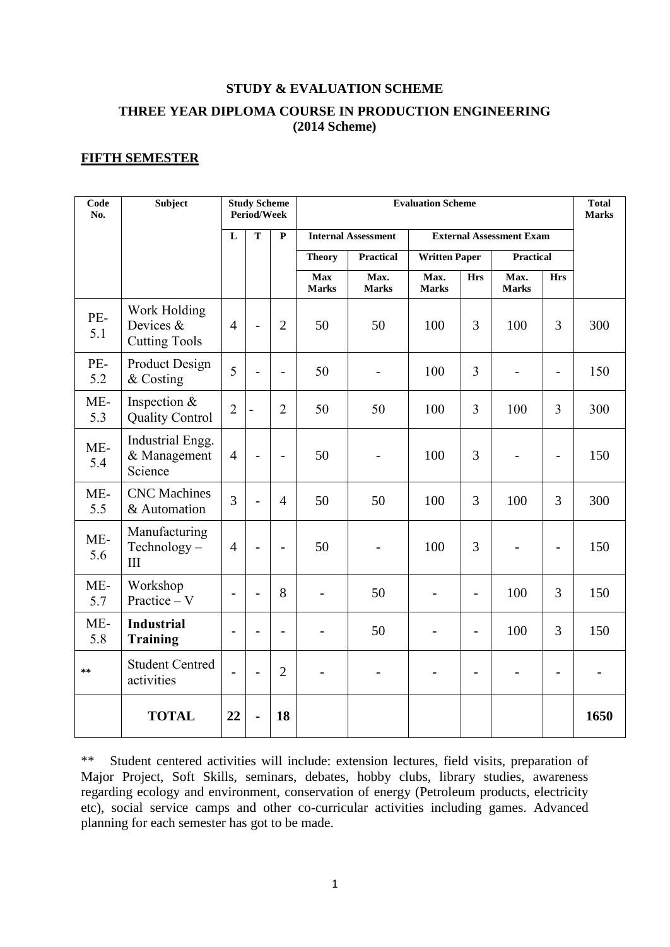# **STUDY & EVALUATION SCHEME THREE YEAR DIPLOMA COURSE IN PRODUCTION ENGINEERING (2014 Scheme)**

# **FIFTH SEMESTER**

| Code<br>No.  | <b>Subject</b>                                    |                | <b>Study Scheme</b><br>Period/Week |                          | <b>Evaluation Scheme</b>   |                          |                                 |                |                      | <b>Total</b><br><b>Marks</b> |      |
|--------------|---------------------------------------------------|----------------|------------------------------------|--------------------------|----------------------------|--------------------------|---------------------------------|----------------|----------------------|------------------------------|------|
|              |                                                   | $\mathbf{L}$   | $\overline{\mathbf{T}}$            | ${\bf P}$                | <b>Internal Assessment</b> |                          | <b>External Assessment Exam</b> |                |                      |                              |      |
|              |                                                   |                |                                    |                          | <b>Theory</b>              | <b>Practical</b>         | <b>Written Paper</b>            |                | <b>Practical</b>     |                              |      |
|              |                                                   |                |                                    |                          | <b>Max</b><br><b>Marks</b> | Max.<br><b>Marks</b>     | Max.<br><b>Marks</b>            | <b>Hrs</b>     | Max.<br><b>Marks</b> | <b>Hrs</b>                   |      |
| PE-<br>5.1   | Work Holding<br>Devices &<br><b>Cutting Tools</b> | $\overline{4}$ |                                    | $\overline{2}$           | 50                         | 50                       | 100                             | 3              | 100                  | 3                            | 300  |
| PE-<br>5.2   | <b>Product Design</b><br>& Costing                | 5              |                                    | -                        | 50                         | $\overline{\phantom{0}}$ | 100                             | 3              |                      | $\overline{\phantom{a}}$     | 150  |
| $ME-$<br>5.3 | Inspection &<br><b>Quality Control</b>            | $\overline{2}$ | $\overline{a}$                     | $\overline{2}$           | 50                         | 50                       | 100                             | 3              | 100                  | $\overline{3}$               | 300  |
| $ME-$<br>5.4 | Industrial Engg.<br>& Management<br>Science       | $\overline{4}$ |                                    | $\overline{\phantom{0}}$ | 50                         |                          | 100                             | 3              |                      | $\overline{\phantom{a}}$     | 150  |
| $ME-$<br>5.5 | <b>CNC</b> Machines<br>& Automation               | $\overline{3}$ |                                    | $\overline{4}$           | 50                         | 50                       | 100                             | 3              | 100                  | 3                            | 300  |
| $ME-$<br>5.6 | Manufacturing<br>Technology-<br>III               | $\overline{4}$ |                                    | $\overline{\phantom{0}}$ | 50                         |                          | 100                             | 3              |                      | $\qquad \qquad -$            | 150  |
| ME-<br>5.7   | Workshop<br>Practice $- V$                        |                | $\overline{a}$                     | 8                        |                            | 50                       |                                 | $\overline{a}$ | 100                  | 3                            | 150  |
| ME-<br>5.8   | <b>Industrial</b><br><b>Training</b>              |                | $\overline{a}$                     | $\overline{\phantom{0}}$ |                            | 50                       |                                 | $\overline{a}$ | 100                  | 3                            | 150  |
| **           | <b>Student Centred</b><br>activities              |                |                                    | $\overline{2}$           |                            |                          |                                 | $\overline{a}$ |                      |                              |      |
|              | <b>TOTAL</b>                                      | 22             |                                    | 18                       |                            |                          |                                 |                |                      |                              | 1650 |

\*\* Student centered activities will include: extension lectures, field visits, preparation of Major Project, Soft Skills, seminars, debates, hobby clubs, library studies, awareness regarding ecology and environment, conservation of energy (Petroleum products, electricity etc), social service camps and other co-curricular activities including games. Advanced planning for each semester has got to be made.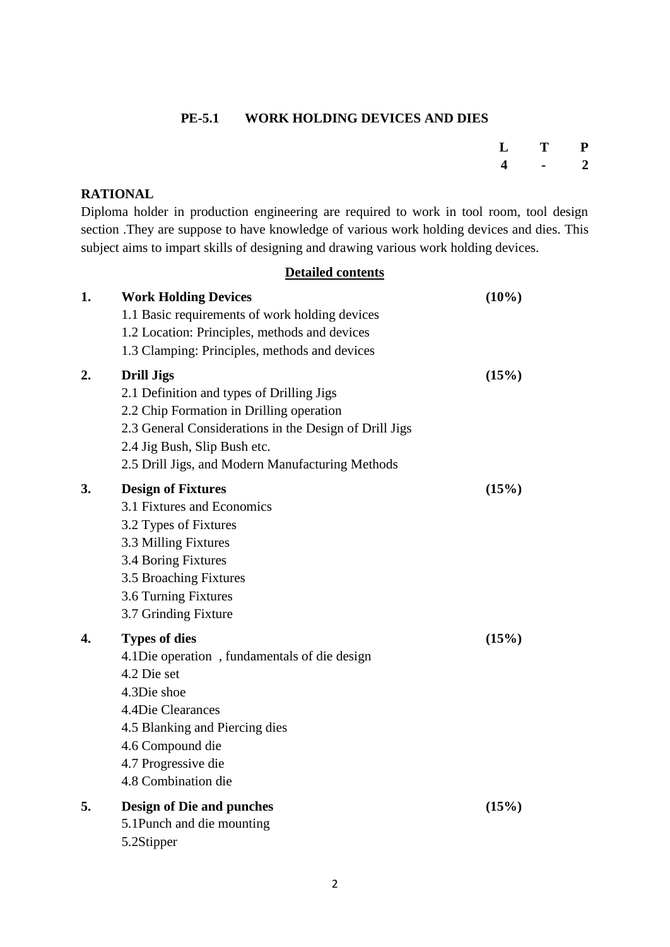### **PE-5.1 WORK HOLDING DEVICES AND DIES**

| L                       | T | ${\bf P}$    |
|-------------------------|---|--------------|
| $\overline{\mathbf{4}}$ |   | $\mathbf{2}$ |

# **RATIONAL**

Diploma holder in production engineering are required to work in tool room, tool design section .They are suppose to have knowledge of various work holding devices and dies. This subject aims to impart skills of designing and drawing various work holding devices.

### **Detailed contents**

| 1. | <b>Work Holding Devices</b><br>1.1 Basic requirements of work holding devices<br>1.2 Location: Principles, methods and devices<br>1.3 Clamping: Principles, methods and devices                                                                          | $(10\%)$ |
|----|----------------------------------------------------------------------------------------------------------------------------------------------------------------------------------------------------------------------------------------------------------|----------|
| 2. | <b>Drill Jigs</b><br>2.1 Definition and types of Drilling Jigs<br>2.2 Chip Formation in Drilling operation<br>2.3 General Considerations in the Design of Drill Jigs<br>2.4 Jig Bush, Slip Bush etc.<br>2.5 Drill Jigs, and Modern Manufacturing Methods | (15%)    |
| 3. | <b>Design of Fixtures</b><br>3.1 Fixtures and Economics<br>3.2 Types of Fixtures<br>3.3 Milling Fixtures<br>3.4 Boring Fixtures<br>3.5 Broaching Fixtures<br>3.6 Turning Fixtures<br>3.7 Grinding Fixture                                                | (15%)    |
| 4. | <b>Types of dies</b><br>4.1 Die operation, fundamentals of die design<br>4.2 Die set<br>4.3Die shoe<br>4.4Die Clearances<br>4.5 Blanking and Piercing dies<br>4.6 Compound die<br>4.7 Progressive die<br>4.8 Combination die                             | (15%)    |
| 5. | <b>Design of Die and punches</b><br>5.1Punch and die mounting<br>5.2Stipper                                                                                                                                                                              | (15%)    |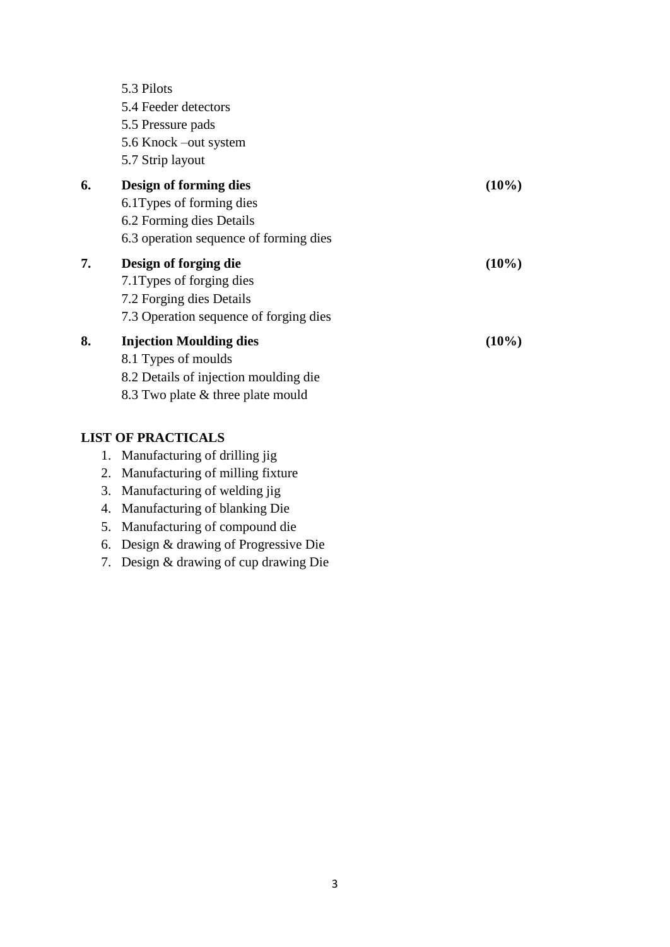|    | 5.3 Pilots                             |          |
|----|----------------------------------------|----------|
|    | 5.4 Feeder detectors                   |          |
|    | 5.5 Pressure pads                      |          |
|    | 5.6 Knock –out system                  |          |
|    | 5.7 Strip layout                       |          |
| 6. | Design of forming dies                 | $(10\%)$ |
|    | 6.1 Types of forming dies              |          |
|    | 6.2 Forming dies Details               |          |
|    | 6.3 operation sequence of forming dies |          |
| 7. | Design of forging die                  | $(10\%)$ |
|    | 7.1 Types of forging dies              |          |
|    | 7.2 Forging dies Details               |          |
|    | 7.3 Operation sequence of forging dies |          |
| 8. | <b>Injection Moulding dies</b>         | $(10\%)$ |
|    | 8.1 Types of moulds                    |          |
|    | 8.2 Details of injection moulding die  |          |
|    | 8.3 Two plate & three plate mould      |          |

### **LIST OF PRACTICALS**

| Manufacturing of drilling jig | 1. |  |  |  |  |
|-------------------------------|----|--|--|--|--|
|-------------------------------|----|--|--|--|--|

- 2. Manufacturing of milling fixture
- 3. Manufacturing of welding jig
- 4. Manufacturing of blanking Die
- 5. Manufacturing of compound die
- 6. Design & drawing of Progressive Die
- 7. Design & drawing of cup drawing Die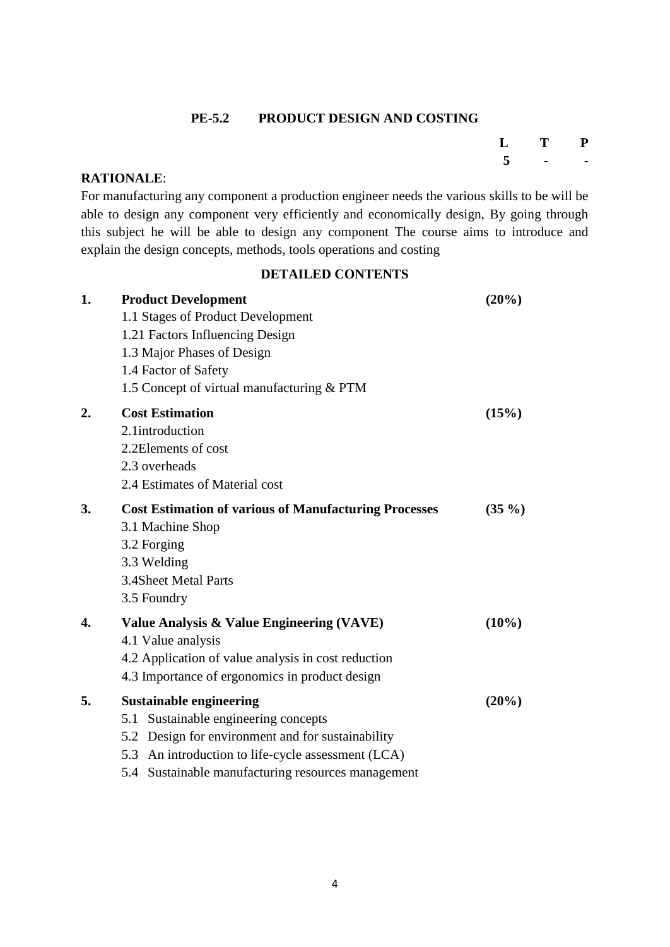### **PE-5.2 PRODUCT DESIGN AND COSTING**

# **L T P 5 - -**

### **RATIONALE**:

For manufacturing any component a production engineer needs the various skills to be will be able to design any component very efficiently and economically design, By going through this subject he will be able to design any component The course aims to introduce and explain the design concepts, methods, tools operations and costing

### **DETAILED CONTENTS**

| 1. | <b>Product Development</b>                                   | (20%)    |
|----|--------------------------------------------------------------|----------|
|    | 1.1 Stages of Product Development                            |          |
|    | 1.21 Factors Influencing Design                              |          |
|    | 1.3 Major Phases of Design                                   |          |
|    | 1.4 Factor of Safety                                         |          |
|    | 1.5 Concept of virtual manufacturing & PTM                   |          |
| 2. | <b>Cost Estimation</b>                                       | (15%)    |
|    | 2.1introduction                                              |          |
|    | 2.2Elements of cost                                          |          |
|    | 2.3 overheads                                                |          |
|    | 2.4 Estimates of Material cost                               |          |
| 3. | <b>Cost Estimation of various of Manufacturing Processes</b> | $(35\%)$ |
|    | 3.1 Machine Shop                                             |          |
|    | 3.2 Forging                                                  |          |
|    | 3.3 Welding                                                  |          |
|    | 3.4Sheet Metal Parts                                         |          |
|    | 3.5 Foundry                                                  |          |
| 4. | Value Analysis & Value Engineering (VAVE)                    | $(10\%)$ |
|    | 4.1 Value analysis                                           |          |
|    | 4.2 Application of value analysis in cost reduction          |          |
|    | 4.3 Importance of ergonomics in product design               |          |
| 5. | <b>Sustainable engineering</b>                               | (20%)    |
|    | 5.1 Sustainable engineering concepts                         |          |
|    | 5.2 Design for environment and for sustainability            |          |
|    | 5.3 An introduction to life-cycle assessment (LCA)           |          |
|    | 5.4 Sustainable manufacturing resources management           |          |
|    |                                                              |          |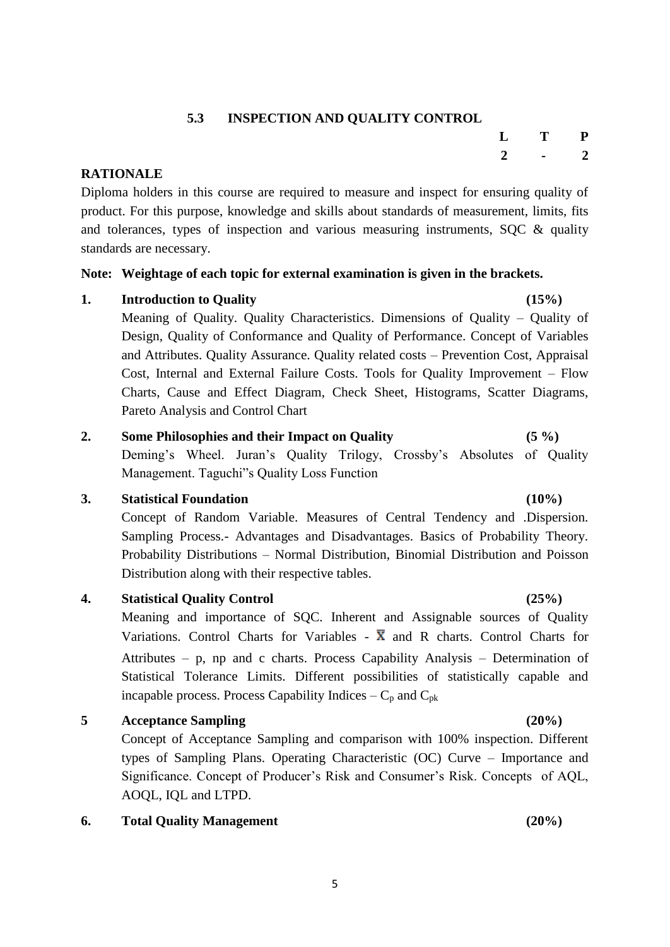# **5.3 INSPECTION AND QUALITY CONTROL**

### **RATIONALE**

Diploma holders in this course are required to measure and inspect for ensuring quality of product. For this purpose, knowledge and skills about standards of measurement, limits, fits and tolerances, types of inspection and various measuring instruments, SQC & quality standards are necessary.

### **Note: Weightage of each topic for external examination is given in the brackets.**

# **1. Introduction to Quality (15%)**

Meaning of Quality. Quality Characteristics. Dimensions of Quality – Quality of Design, Quality of Conformance and Quality of Performance. Concept of Variables and Attributes. Quality Assurance. Quality related costs – Prevention Cost, Appraisal Cost, Internal and External Failure Costs. Tools for Quality Improvement – Flow Charts, Cause and Effect Diagram, Check Sheet, Histograms, Scatter Diagrams, Pareto Analysis and Control Chart

# **2. Some Philosophies and their Impact on Quality (5 %)**

Deming's Wheel. Juran's Quality Trilogy, Crossby's Absolutes of Quality Management. Taguchi"s Quality Loss Function

# **3. Statistical Foundation (10%)**

Concept of Random Variable. Measures of Central Tendency and .Dispersion. Sampling Process.- Advantages and Disadvantages. Basics of Probability Theory. Probability Distributions – Normal Distribution, Binomial Distribution and Poisson Distribution along with their respective tables.

# **4. Statistical Quality Control (25%)**

Meaning and importance of SQC. Inherent and Assignable sources of Quality Variations. Control Charts for Variables -  $\overline{X}$  and R charts. Control Charts for Attributes – p, np and c charts. Process Capability Analysis – Determination of Statistical Tolerance Limits. Different possibilities of statistically capable and incapable process. Process Capability Indices  $-C_p$  and  $C_{pk}$ 

# **5 Acceptance Sampling (20%)**

Concept of Acceptance Sampling and comparison with 100% inspection. Different types of Sampling Plans. Operating Characteristic (OC) Curve – Importance and Significance. Concept of Producer's Risk and Consumer's Risk. Concepts of AQL, AOQL, IQL and LTPD.

# **6. Total Quality Management (20%)**

# **L T P 2 - 2**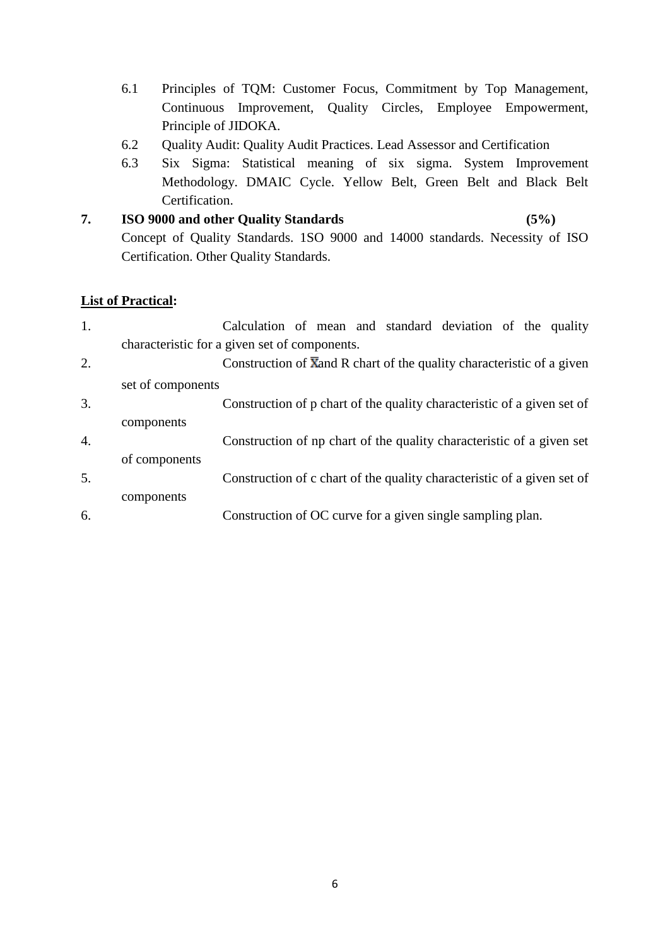- 6.1 Principles of TQM: Customer Focus, Commitment by Top Management, Continuous Improvement, Quality Circles, Employee Empowerment, Principle of JIDOKA.
- 6.2 Quality Audit: Quality Audit Practices. Lead Assessor and Certification
- 6.3 Six Sigma: Statistical meaning of six sigma. System Improvement Methodology. DMAIC Cycle. Yellow Belt, Green Belt and Black Belt Certification.
- **7. ISO 9000 and other Quality Standards (5%)** Concept of Quality Standards. 1SO 9000 and 14000 standards. Necessity of ISO Certification. Other Quality Standards.

# **List of Practical:**

| 1. |                                               | Calculation of mean and standard deviation of the quality                           |  |  |  |  |
|----|-----------------------------------------------|-------------------------------------------------------------------------------------|--|--|--|--|
|    | characteristic for a given set of components. |                                                                                     |  |  |  |  |
| 2. |                                               | Construction of $\overline{X}$ and R chart of the quality characteristic of a given |  |  |  |  |
|    | set of components                             |                                                                                     |  |  |  |  |
| 3. |                                               | Construction of p chart of the quality characteristic of a given set of             |  |  |  |  |
|    | components                                    |                                                                                     |  |  |  |  |
| 4. |                                               | Construction of np chart of the quality characteristic of a given set               |  |  |  |  |
|    | of components                                 |                                                                                     |  |  |  |  |
| 5. |                                               | Construction of c chart of the quality characteristic of a given set of             |  |  |  |  |
|    | components                                    |                                                                                     |  |  |  |  |
| 6. |                                               | Construction of OC curve for a given single sampling plan.                          |  |  |  |  |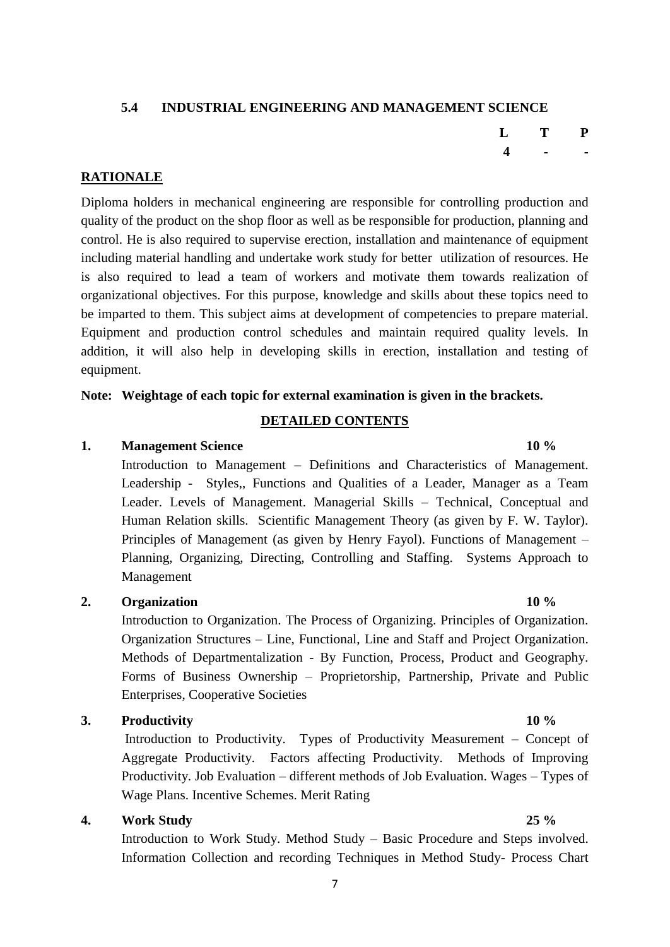# **5.4 INDUSTRIAL ENGINEERING AND MANAGEMENT SCIENCE**

### **RATIONALE**

Diploma holders in mechanical engineering are responsible for controlling production and quality of the product on the shop floor as well as be responsible for production, planning and control. He is also required to supervise erection, installation and maintenance of equipment including material handling and undertake work study for better utilization of resources. He is also required to lead a team of workers and motivate them towards realization of organizational objectives. For this purpose, knowledge and skills about these topics need to be imparted to them. This subject aims at development of competencies to prepare material. Equipment and production control schedules and maintain required quality levels. In addition, it will also help in developing skills in erection, installation and testing of equipment.

### **Note: Weightage of each topic for external examination is given in the brackets.**

### **DETAILED CONTENTS**

### **1. Management Science 10 %**

Introduction to Management – Definitions and Characteristics of Management. Leadership - Styles,, Functions and Qualities of a Leader, Manager as a Team Leader. Levels of Management. Managerial Skills – Technical, Conceptual and Human Relation skills. Scientific Management Theory (as given by F. W. Taylor). Principles of Management (as given by Henry Fayol). Functions of Management – Planning, Organizing, Directing, Controlling and Staffing. Systems Approach to Management

### **2. Organization 10 %**

Introduction to Organization. The Process of Organizing. Principles of Organization. Organization Structures – Line, Functional, Line and Staff and Project Organization. Methods of Departmentalization - By Function, Process, Product and Geography. Forms of Business Ownership – Proprietorship, Partnership, Private and Public Enterprises, Cooperative Societies

### **3. Productivity 10 %**

Introduction to Productivity. Types of Productivity Measurement – Concept of Aggregate Productivity. Factors affecting Productivity. Methods of Improving Productivity. Job Evaluation – different methods of Job Evaluation. Wages – Types of Wage Plans. Incentive Schemes. Merit Rating

### **4. Work Study 25 %**

Introduction to Work Study. Method Study – Basic Procedure and Steps involved. Information Collection and recording Techniques in Method Study- Process Chart

**L T P 4 - -**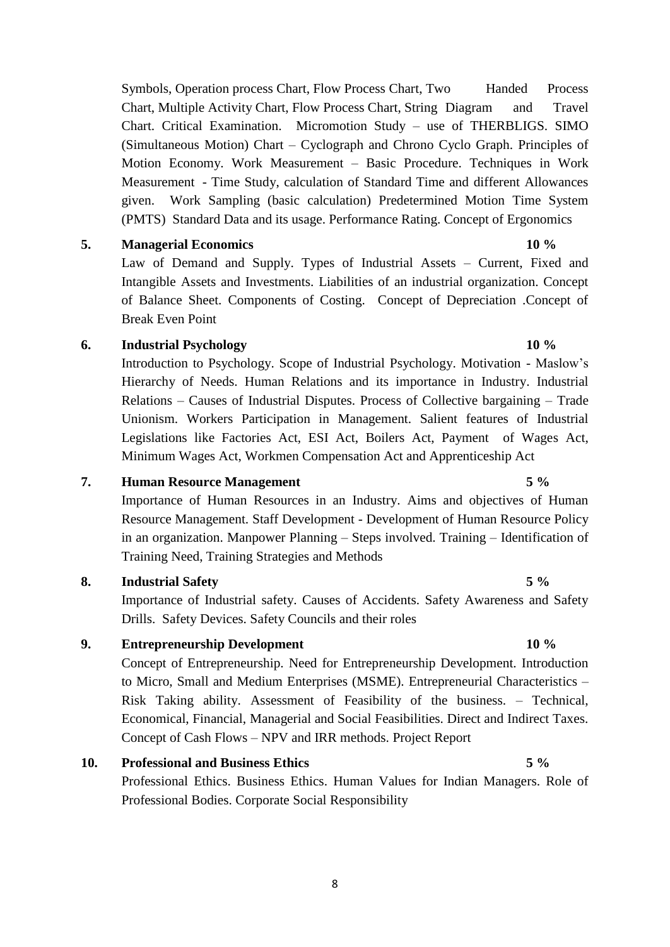Symbols, Operation process Chart, Flow Process Chart, Two Handed Process Chart, Multiple Activity Chart, Flow Process Chart, String Diagram and Travel Chart. Critical Examination. Micromotion Study – use of THERBLIGS. SIMO (Simultaneous Motion) Chart – Cyclograph and Chrono Cyclo Graph. Principles of Motion Economy. Work Measurement – Basic Procedure. Techniques in Work Measurement - Time Study, calculation of Standard Time and different Allowances given. Work Sampling (basic calculation) Predetermined Motion Time System (PMTS) Standard Data and its usage. Performance Rating. Concept of Ergonomics

### **5. Managerial Economics 10 %**

Law of Demand and Supply. Types of Industrial Assets – Current, Fixed and Intangible Assets and Investments. Liabilities of an industrial organization. Concept of Balance Sheet. Components of Costing. Concept of Depreciation .Concept of Break Even Point

### **6. Industrial Psychology 10 %**

Introduction to Psychology. Scope of Industrial Psychology. Motivation - Maslow's Hierarchy of Needs. Human Relations and its importance in Industry. Industrial Relations – Causes of Industrial Disputes. Process of Collective bargaining – Trade Unionism. Workers Participation in Management. Salient features of Industrial Legislations like Factories Act, ESI Act, Boilers Act, Payment of Wages Act, Minimum Wages Act, Workmen Compensation Act and Apprenticeship Act

### **7. Human Resource Management 5 %**

Importance of Human Resources in an Industry. Aims and objectives of Human Resource Management. Staff Development - Development of Human Resource Policy in an organization. Manpower Planning – Steps involved. Training – Identification of Training Need, Training Strategies and Methods

### **8. Industrial Safety 5 %**

Importance of Industrial safety. Causes of Accidents. Safety Awareness and Safety Drills. Safety Devices. Safety Councils and their roles

### **9. Entrepreneurship Development 10 %**

Concept of Entrepreneurship. Need for Entrepreneurship Development. Introduction to Micro, Small and Medium Enterprises (MSME). Entrepreneurial Characteristics – Risk Taking ability. Assessment of Feasibility of the business. – Technical, Economical, Financial, Managerial and Social Feasibilities. Direct and Indirect Taxes. Concept of Cash Flows – NPV and IRR methods. Project Report

### **10. Professional and Business Ethics 5 %**

Professional Ethics. Business Ethics. Human Values for Indian Managers. Role of Professional Bodies. Corporate Social Responsibility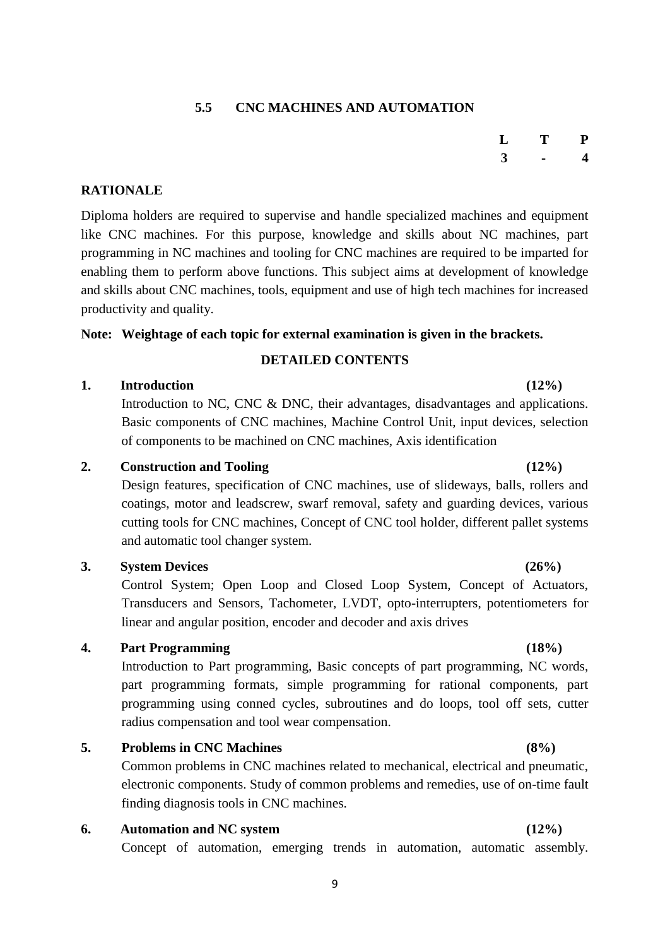# **5.5 CNC MACHINES AND AUTOMATION**

# **RATIONALE**

Diploma holders are required to supervise and handle specialized machines and equipment like CNC machines. For this purpose, knowledge and skills about NC machines, part programming in NC machines and tooling for CNC machines are required to be imparted for enabling them to perform above functions. This subject aims at development of knowledge and skills about CNC machines, tools, equipment and use of high tech machines for increased productivity and quality.

# **Note: Weightage of each topic for external examination is given in the brackets.**

# **DETAILED CONTENTS**

# **1. Introduction (12%)**

Introduction to NC, CNC & DNC, their advantages, disadvantages and applications. Basic components of CNC machines, Machine Control Unit, input devices, selection of components to be machined on CNC machines, Axis identification

### **2. Construction and Tooling (12%)**

Design features, specification of CNC machines, use of slideways, balls, rollers and coatings, motor and leadscrew, swarf removal, safety and guarding devices, various cutting tools for CNC machines, Concept of CNC tool holder, different pallet systems and automatic tool changer system.

### **3. System Devices (26%)**

Control System; Open Loop and Closed Loop System, Concept of Actuators, Transducers and Sensors, Tachometer, LVDT, opto-interrupters, potentiometers for linear and angular position, encoder and decoder and axis drives

# **4. Part Programming (18%)**

Introduction to Part programming, Basic concepts of part programming, NC words, part programming formats, simple programming for rational components, part programming using conned cycles, subroutines and do loops, tool off sets, cutter radius compensation and tool wear compensation.

# **5. Problems in CNC Machines (8%)**

Common problems in CNC machines related to mechanical, electrical and pneumatic, electronic components. Study of common problems and remedies, use of on-time fault finding diagnosis tools in CNC machines.

# **6. Automation and NC system (12%)**

Concept of automation, emerging trends in automation, automatic assembly.

# **L T P 3 - 4**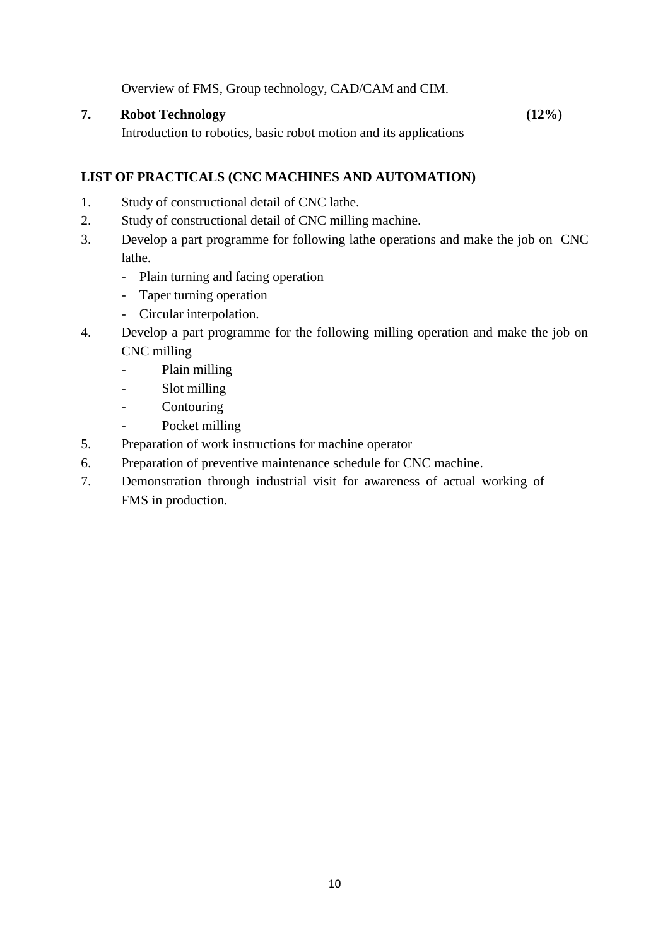Overview of FMS, Group technology, CAD/CAM and CIM.

### **7. Robot Technology (12%)**

Introduction to robotics, basic robot motion and its applications

### **LIST OF PRACTICALS (CNC MACHINES AND AUTOMATION)**

- 1. Study of constructional detail of CNC lathe.
- 2. Study of constructional detail of CNC milling machine.
- 3. Develop a part programme for following lathe operations and make the job on CNC lathe.
	- Plain turning and facing operation
	- Taper turning operation
	- Circular interpolation.
- 4. Develop a part programme for the following milling operation and make the job on CNC milling
	- Plain milling
	- Slot milling
	- Contouring
	- Pocket milling
- 5. Preparation of work instructions for machine operator
- 6. Preparation of preventive maintenance schedule for CNC machine.
- 7. Demonstration through industrial visit for awareness of actual working of FMS in production.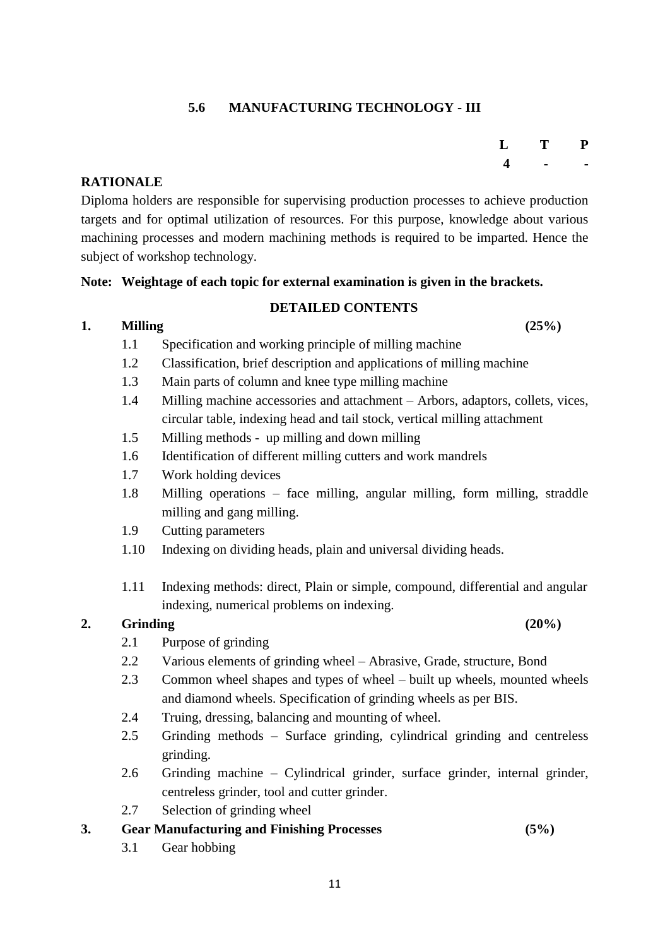# **5.6 MANUFACTURING TECHNOLOGY - III**

### **RATIONALE**

Diploma holders are responsible for supervising production processes to achieve production targets and for optimal utilization of resources. For this purpose, knowledge about various machining processes and modern machining methods is required to be imparted. Hence the subject of workshop technology.

### **Note: Weightage of each topic for external examination is given in the brackets.**

### **DETAILED CONTENTS**

### **1. Milling (25%)**

- 1.1 Specification and working principle of milling machine
- 1.2 Classification, brief description and applications of milling machine
- 1.3 Main parts of column and knee type milling machine
- 1.4 Milling machine accessories and attachment Arbors, adaptors, collets, vices, circular table, indexing head and tail stock, vertical milling attachment
- 1.5 Milling methods up milling and down milling
- 1.6 Identification of different milling cutters and work mandrels
- 1.7 Work holding devices
- 1.8 Milling operations face milling, angular milling, form milling, straddle milling and gang milling.
- 1.9 Cutting parameters
- 1.10 Indexing on dividing heads, plain and universal dividing heads.
- 1.11 Indexing methods: direct, Plain or simple, compound, differential and angular indexing, numerical problems on indexing.

### **2. Grinding (20%)**

- 2.1 Purpose of grinding
- 2.2 Various elements of grinding wheel Abrasive, Grade, structure, Bond
- 2.3 Common wheel shapes and types of wheel built up wheels, mounted wheels and diamond wheels. Specification of grinding wheels as per BIS.
- 2.4 Truing, dressing, balancing and mounting of wheel.
- 2.5 Grinding methods Surface grinding, cylindrical grinding and centreless grinding.
- 2.6 Grinding machine Cylindrical grinder, surface grinder, internal grinder, centreless grinder, tool and cutter grinder.
- 2.7 Selection of grinding wheel

### **3. Gear Manufacturing and Finishing Processes (5%)**

3.1 Gear hobbing

**L T P 4 - -**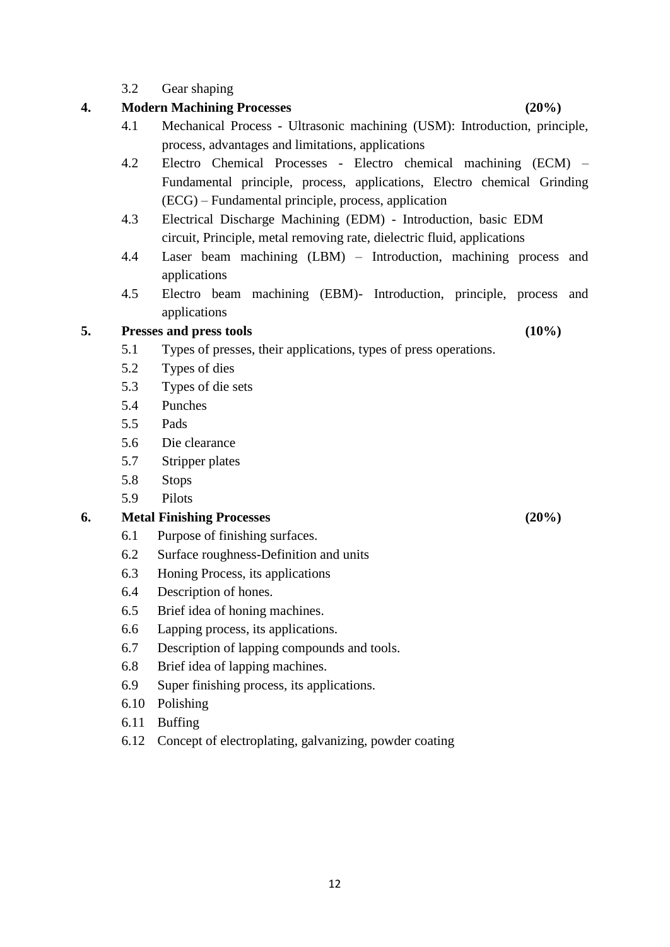### 3.2 Gear shaping

# **4. Modern Machining Processes (20%)**

- 4.1 Mechanical Process Ultrasonic machining (USM): Introduction, principle, process, advantages and limitations, applications
- 4.2 Electro Chemical Processes Electro chemical machining (ECM) Fundamental principle, process, applications, Electro chemical Grinding (ECG) – Fundamental principle, process, application
- 4.3 Electrical Discharge Machining (EDM) Introduction, basic EDM circuit, Principle, metal removing rate, dielectric fluid, applications
- 4.4 Laser beam machining (LBM) Introduction, machining process and applications
- 4.5 Electro beam machining (EBM)- Introduction, principle, process and applications

### **5. Presses and press tools (10%)**

- 5.1 Types of presses, their applications, types of press operations.
- 5.2 Types of dies
- 5.3 Types of die sets
- 5.4 Punches
- 5.5 Pads
- 5.6 Die clearance
- 5.7 Stripper plates
- 5.8 Stops
- 5.9 Pilots

# **6. Metal Finishing Processes (20%)**

- 6.1 Purpose of finishing surfaces.
- 6.2 Surface roughness-Definition and units
- 6.3 Honing Process, its applications
- 6.4 Description of hones.
- 6.5 Brief idea of honing machines.
- 6.6 Lapping process, its applications.
- 6.7 Description of lapping compounds and tools.
- 6.8 Brief idea of lapping machines.
- 6.9 Super finishing process, its applications.
- 6.10 Polishing
- 6.11 Buffing
- 6.12 Concept of electroplating, galvanizing, powder coating